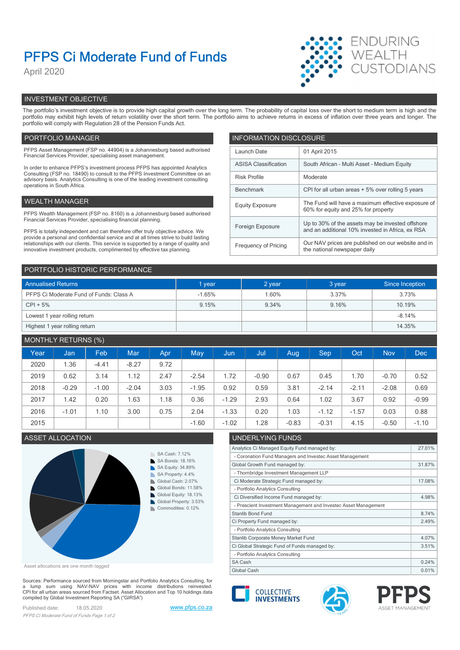# PFPS Ci Moderate Fund of Funds

April 2020



# INVESTMENT OBJECTIVE

The portfolio's investment objective is to provide high capital growth over the long term. The probability of capital loss over the short to medium term is high and the portfolio may exhibit high levels of return volatility over the short term. The portfolio aims to achieve returns in excess of inflation over three years and longer. The portfolio will comply with Regulation 28 of the Pension Funds Act.

# PORTFOLIO MANAGER **INFORMATION DISCLOSURE**

| PFPS Asset Management (FSP no. 44904) is a Johannesburg based authorised<br>Financial Services Provider, specialising asset management.                                | Launch Date                 | 01 April 2015                                                                             |  |
|------------------------------------------------------------------------------------------------------------------------------------------------------------------------|-----------------------------|-------------------------------------------------------------------------------------------|--|
| In order to enhance PFPS's investment process PFPS has appointed Analytics                                                                                             | <b>ASISA Classification</b> | South African - Multi Asset - Medium Equity                                               |  |
| Consulting (FSP no. 18490) to consult to the PFPS Investment Committee on an<br>advisory basis. Analytics Consulting is one of the leading investment consulting       | <b>Risk Profile</b>         | Moderate                                                                                  |  |
| operations in South Africa.                                                                                                                                            | Benchmark                   | CPI for all urban areas + 5% over rolling 5 years                                         |  |
| WEALTH MANAGER                                                                                                                                                         | <b>Equity Exposure</b>      | The Fund will have a maximum effective exposure of<br>60% for equity and 25% for property |  |
| PFPS Wealth Management (FSP no. 8160) is a Johannesburg based authorised                                                                                               |                             |                                                                                           |  |
| Financial Services Provider, specialising financial planning.                                                                                                          | Foreign Exposure            | Up to 30% of the assets may be invested offshore                                          |  |
| PFPS is totally independent and can therefore offer truly objective advice. We<br>provide a personal and confidential service and at all times strive to build lasting |                             | and an additional 10% invested in Africa, ex RSA                                          |  |
| relationships with our clients. This service is supported by a range of quality and<br>innovative investment products, complimented by effective tax planning.         | Frequency of Pricing        | Our NAV prices are published on our website and in<br>the national newspaper daily        |  |
|                                                                                                                                                                        |                             |                                                                                           |  |

| PORTFOLIO HISTORIC PERFORMANCE          |          |        |        |                 |  |  |
|-----------------------------------------|----------|--------|--------|-----------------|--|--|
| <b>Annualised Returns</b>               | 1 year   | 2 year | 3 year | Since Inception |  |  |
| PFPS Ci Moderate Fund of Funds: Class A | $-1.65%$ | 1.60%  | 3.37%  | 3.73%           |  |  |
| $CPI + 5%$                              | 9.15%    | 9.34%  | 9.16%  | 10.19%          |  |  |
| Lowest 1 year rolling return            |          |        |        | $-8.14%$        |  |  |
| Highest 1 year rolling return           |          |        |        | 14.35%          |  |  |

# MONTHLY RETURNS (%)

| Year | Jan <sub>1</sub> | Feb     | Mar     | Apr  | <b>May</b> | Jun,    | <b>Juli</b> | Aug     | <b>Sep</b> | Oct     | <b>Nov</b> | <b>Dec</b> |
|------|------------------|---------|---------|------|------------|---------|-------------|---------|------------|---------|------------|------------|
| 2020 | 1.36             | $-4.41$ | $-8.27$ | 9.72 |            |         |             |         |            |         |            |            |
| 2019 | 0.62             | 3.14    | 1.12    | 2.47 | $-2.54$    | 1.72    | $-0.90$     | 0.67    | 0.45       | .70     | $-0.70$    | 0.52       |
| 2018 | $-0.29$          | $-1.00$ | $-2.04$ | 3.03 | $-1.95$    | 0.92    | 0.59        | 3.81    | $-2.14$    | $-2.11$ | $-2.08$    | 0.69       |
| 2017 | 1.42             | 0.20    | 1.63    | 1.18 | 0.36       | $-1.29$ | 2.93        | 0.64    | 1.02       | 3.67    | 0.92       | $-0.99$    |
| 2016 | $-1.01$          | 1.10    | 3.00    | 0.75 | 2.04       | $-1.33$ | 0.20        | 1.03    | $-1.12$    | $-1.57$ | 0.03       | 0.88       |
| 2015 |                  |         |         |      | $-1.60$    | $-1.02$ | .28         | $-0.83$ | $-0.31$    | 4.15    | $-0.50$    | $-1.10$    |
|      |                  |         |         |      |            |         |             |         |            |         |            |            |



Asset allocations are one month lagged

Sources: Performance sourced from Morningstar and Portfolio Analytics Consulting, for a lump sum using NAV-NAV prices with income distributions reinvested.<br>CPI for all urban areas sourced from Factset. Asset Allocation and Top 10 holdings data compiled by Global Investment Reporting SA ("GIRSA")

Published date: 18.05.2020 www.pfps.co.za PFPS Ci Moderate Fund of Funds Page 1 of 2

# ASSET ALLOCATION UNDERLYING FUNDS

| Analytics Ci Managed Equity Fund managed by:                    | 27.01% |
|-----------------------------------------------------------------|--------|
| - Coronation Fund Managers and Investec Asset Management        |        |
| Global Growth Fund managed by:                                  | 31.87% |
| - Thornbridge Investment Management LLP                         |        |
| Ci Moderate Strategic Fund managed by:                          | 17.08% |
| - Portfolio Analytics Consulting                                |        |
| Ci Diversified Income Fund managed by:                          | 4.98%  |
| - Prescient Investment Management and Investec Asset Management |        |
| <b>Stanlib Bond Fund</b>                                        | 8.74%  |
| Ci Property Fund managed by:                                    | 2.49%  |
| - Portfolio Analytics Consulting                                |        |
| Stanlib Corporate Money Market Fund                             | 4.07%  |
| Ci Global Strategic Fund of Funds managed by:                   | 3.51%  |
| - Portfolio Analytics Consulting                                |        |
| SA Cash                                                         | 0.24%  |
| Global Cash                                                     | 0.01%  |